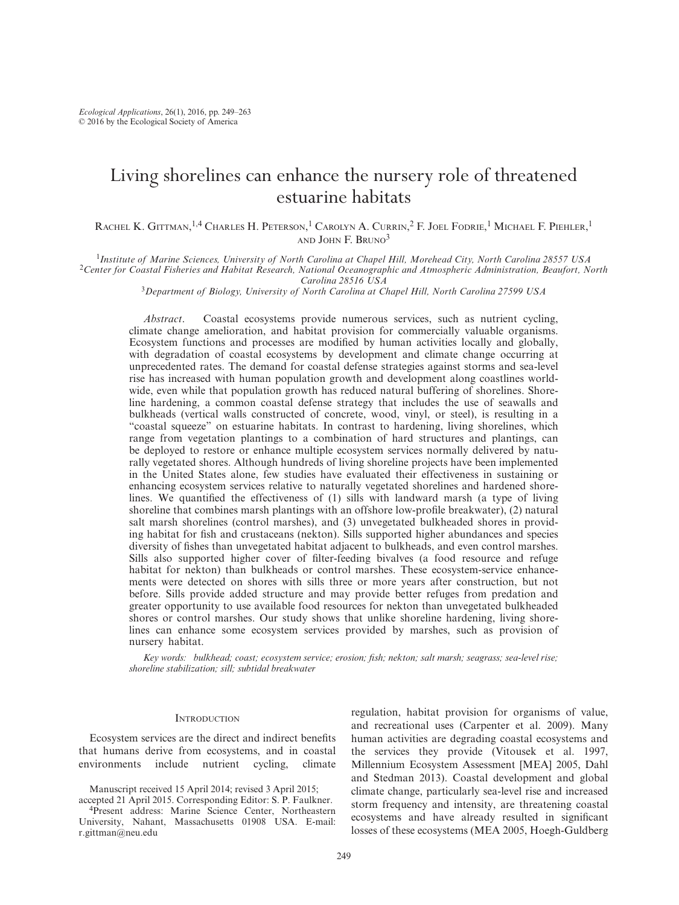# Living shorelines can enhance the nursery role of threatened estuarine habitats

Rachel K. Gittman,<sup>1,4</sup> Charles H. Peterson,<sup>1</sup> Carolyn A. Currin,<sup>2</sup> F. Joel Fodrie,<sup>1</sup> Michael F. Piehler,<sup>1</sup> AND JOHN F. BRUNO3

<sup>1</sup>Institute of Marine Sciences, University of North Carolina at Chapel Hill, Morehead City, North Carolina 28557 USA<br><sup>2</sup>Center for Coastal Fisheries and Habitat Research, National Oceanographic and Atmospheric Administra

*Carolina 28516 USA* 3 *Department of Biology , University of North Carolina at Chapel Hill , North Carolina 27599 USA* 

*Abstract* . Coastal ecosystems provide numerous services, such as nutrient cycling, climate change amelioration, and habitat provision for commercially valuable organisms. Ecosystem functions and processes are modified by human activities locally and globally, with degradation of coastal ecosystems by development and climate change occurring at unprecedented rates. The demand for coastal defense strategies against storms and sea-level rise has increased with human population growth and development along coastlines worldwide, even while that population growth has reduced natural buffering of shorelines. Shoreline hardening, a common coastal defense strategy that includes the use of seawalls and bulkheads (vertical walls constructed of concrete, wood, vinyl, or steel), is resulting in a "coastal squeeze" on estuarine habitats. In contrast to hardening, living shorelines, which range from vegetation plantings to a combination of hard structures and plantings, can be deployed to restore or enhance multiple ecosystem services normally delivered by naturally vegetated shores. Although hundreds of living shoreline projects have been implemented in the United States alone, few studies have evaluated their effectiveness in sustaining or enhancing ecosystem services relative to naturally vegetated shorelines and hardened shorelines. We quantified the effectiveness of (1) sills with landward marsh (a type of living shoreline that combines marsh plantings with an offshore low-profile breakwater), (2) natural salt marsh shorelines (control marshes), and (3) unvegetated bulkheaded shores in providing habitat for fish and crustaceans (nekton). Sills supported higher abundances and species diversity of fishes than unvegetated habitat adjacent to bulkheads, and even control marshes. Sills also supported higher cover of filter-feeding bivalves (a food resource and refuge habitat for nekton) than bulkheads or control marshes. These ecosystem-service enhancements were detected on shores with sills three or more years after construction, but not before. Sills provide added structure and may provide better refuges from predation and greater opportunity to use available food resources for nekton than unvegetated bulkheaded shores or control marshes. Our study shows that unlike shoreline hardening, living shorelines can enhance some ecosystem services provided by marshes, such as provision of nursery habitat.

*Key words: bulkhead; coast; ecosystem service; erosion; fish; nekton; salt marsh; seagrass; sea-level rise;*  $shoreline$  stabilization; sill; subtidal breakwater

## **INTRODUCTION**

Ecosystem services are the direct and indirect benefits that humans derive from ecosystems, and in coastal environments include nutrient cycling, climate regulation, habitat provision for organisms of value, and recreational uses (Carpenter et al. 2009). Many human activities are degrading coastal ecosystems and the services they provide (Vitousek et al. 1997, Millennium Ecosystem Assessment [MEA] 2005, Dahl and Stedman 2013). Coastal development and global climate change, particularly sea- level rise and increased storm frequency and intensity, are threatening coastal ecosystems and have already resulted in significant losses of these ecosystems (MEA 2005, Hoegh-Guldberg

Manuscript received 15 April 2014; revised 3 April 2015; accepted 21 April 2015. Corresponding Editor: S. P. Faulkner.

<sup>&</sup>lt;sup>4</sup>Present address: Marine Science Center, Northeastern University, Nahant, Massachusetts 01908 USA. E-mail: r.gittman@neu.edu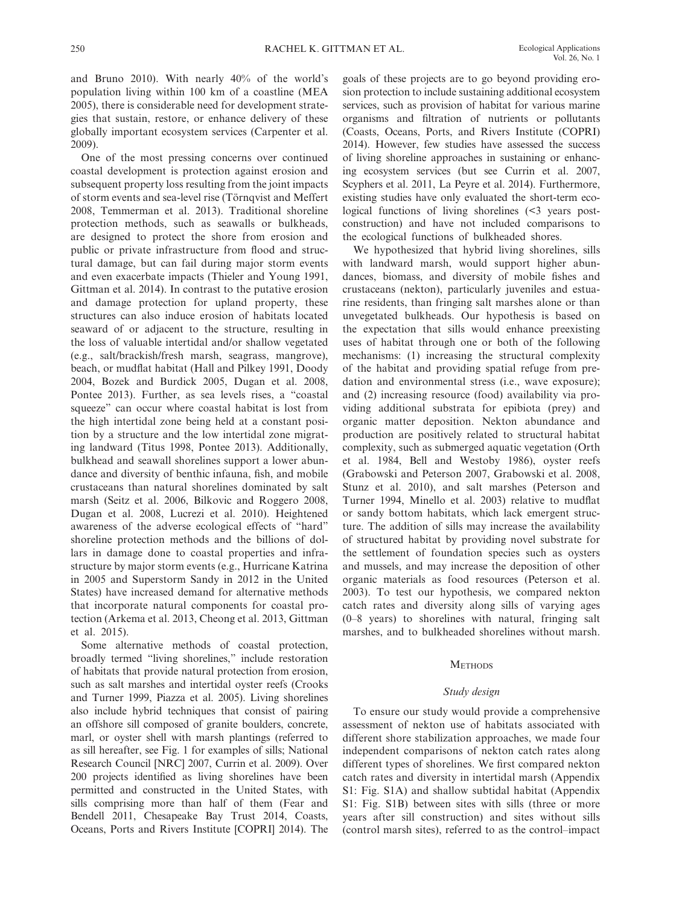and Bruno 2010). With nearly  $40\%$  of the world's population living within 100 km of a coastline (MEA 2005), there is considerable need for development strategies that sustain, restore, or enhance delivery of these globally important ecosystem services (Carpenter et al. 2009).

 One of the most pressing concerns over continued coastal development is protection against erosion and subsequent property loss resulting from the joint impacts of storm events and sea- level rise (Törnqvist and Meffert 2008, Temmerman et al. 2013). Traditional shoreline protection methods, such as seawalls or bulkheads, are designed to protect the shore from erosion and public or private infrastructure from flood and structural damage, but can fail during major storm events and even exacerbate impacts (Thieler and Young 1991, Gittman et al. 2014). In contrast to the putative erosion and damage protection for upland property, these structures can also induce erosion of habitats located seaward of or adjacent to the structure, resulting in the loss of valuable intertidal and/or shallow vegetated (e.g., salt/brackish/fresh marsh, seagrass, mangrove), beach, or mudflat habitat (Hall and Pilkey 1991, Doody 2004, Bozek and Burdick 2005, Dugan et al. 2008, Pontee 2013). Further, as sea levels rises, a "coastal squeeze" can occur where coastal habitat is lost from the high intertidal zone being held at a constant position by a structure and the low intertidal zone migrating landward (Titus 1998, Pontee 2013). Additionally, bulkhead and seawall shorelines support a lower abundance and diversity of benthic infauna, fish, and mobile crustaceans than natural shorelines dominated by salt marsh (Seitz et al. 2006, Bilkovic and Roggero 2008, Dugan et al. 2008, Lucrezi et al. 2010). Heightened awareness of the adverse ecological effects of "hard" shoreline protection methods and the billions of dollars in damage done to coastal properties and infrastructure by major storm events (e.g., Hurricane Katrina in 2005 and Superstorm Sandy in 2012 in the United States) have increased demand for alternative methods that incorporate natural components for coastal protection (Arkema et al. 2013, Cheong et al. 2013, Gittman et al. 2015).

 Some alternative methods of coastal protection, broadly termed "living shorelines," include restoration of habitats that provide natural protection from erosion, such as salt marshes and intertidal oyster reefs (Crooks and Turner 1999, Piazza et al. 2005). Living shorelines also include hybrid techniques that consist of pairing an offshore sill composed of granite boulders, concrete, marl, or oyster shell with marsh plantings (referred to as sill hereafter, see Fig. 1 for examples of sills; National Research Council [NRC] 2007, Currin et al. 2009). Over 200 projects identified as living shorelines have been permitted and constructed in the United States, with sills comprising more than half of them (Fear and Bendell 2011, Chesapeake Bay Trust 2014, Coasts, Oceans, Ports and Rivers Institute [COPRI] 2014). The

goals of these projects are to go beyond providing erosion protection to include sustaining additional ecosystem services, such as provision of habitat for various marine organisms and filtration of nutrients or pollutants (Coasts, Oceans, Ports, and Rivers Institute (COPRI) 2014). However, few studies have assessed the success of living shoreline approaches in sustaining or enhancing ecosystem services (but see Currin et al. 2007, Scyphers et al. 2011, La Peyre et al. 2014). Furthermore, existing studies have only evaluated the short-term ecological functions of living shorelines (<3 years postconstruction) and have not included comparisons to the ecological functions of bulkheaded shores.

 We hypothesized that hybrid living shorelines, sills with landward marsh, would support higher abundances, biomass, and diversity of mobile fishes and crustaceans (nekton), particularly juveniles and estuarine residents, than fringing salt marshes alone or than unvegetated bulkheads. Our hypothesis is based on the expectation that sills would enhance preexisting uses of habitat through one or both of the following mechanisms: (1) increasing the structural complexity of the habitat and providing spatial refuge from predation and environmental stress (i.e., wave exposure); and (2) increasing resource (food) availability via providing additional substrata for epibiota (prey) and organic matter deposition. Nekton abundance and production are positively related to structural habitat complexity, such as submerged aquatic vegetation (Orth et al. 1984, Bell and Westoby 1986), oyster reefs (Grabowski and Peterson 2007, Grabowski et al. 2008, Stunz et al. 2010), and salt marshes (Peterson and Turner 1994, Minello et al. 2003) relative to mudflat or sandy bottom habitats, which lack emergent structure. The addition of sills may increase the availability of structured habitat by providing novel substrate for the settlement of foundation species such as oysters and mussels, and may increase the deposition of other organic materials as food resources (Peterson et al. 2003). To test our hypothesis, we compared nekton catch rates and diversity along sills of varying ages (0–8 years) to shorelines with natural, fringing salt marshes, and to bulkheaded shorelines without marsh.

#### **METHODS**

### *Study design*

 To ensure our study would provide a comprehensive assessment of nekton use of habitats associated with different shore stabilization approaches, we made four independent comparisons of nekton catch rates along different types of shorelines. We first compared nekton catch rates and diversity in intertidal marsh (Appendix S1: Fig. S1A) and shallow subtidal habitat (Appendix S1: Fig. S1B) between sites with sills (three or more years after sill construction) and sites without sills (control marsh sites), referred to as the control–impact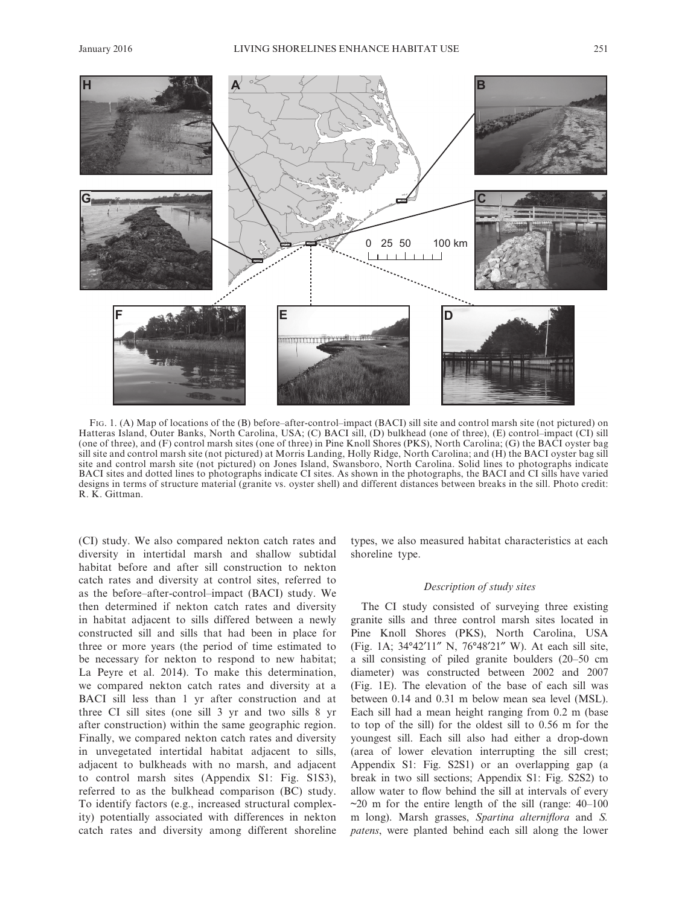

FIG. 1. (A) Map of locations of the (B) before–after-control–impact (BACI) sill site and control marsh site (not pictured) on Hatteras Island, Outer Banks, North Carolina, USA; (C) BACI sill, (D) bulkhead (one of three), (E) control–impact (CI) sill (one of three), and (F) control marsh sites (one of three) in Pine Knoll Shores ( PKS ), North Carolina; (G) the BACI oyster bag sill site and control marsh site (not pictured) at Morris Landing, Holly Ridge, North Carolina; and (H) the BACI oyster bag sill site and control marsh site (not pictured) on Jones Island, Swansboro, North Carolina. Solid lines to photographs indicate BACI sites and dotted lines to photographs indicate CI sites. As shown in the photographs, the BACI and CI sills have varied designs in terms of structure material (granite vs. oyster shell) and different distances between breaks in the sill. Photo credit: R. K. Gittman.

(CI) study. We also compared nekton catch rates and diversity in intertidal marsh and shallow subtidal habitat before and after sill construction to nekton catch rates and diversity at control sites, referred to as the before–after- control–impact (BACI) study. We then determined if nekton catch rates and diversity in habitat adjacent to sills differed between a newly constructed sill and sills that had been in place for three or more years (the period of time estimated to be necessary for nekton to respond to new habitat; La Peyre et al. 2014). To make this determination, we compared nekton catch rates and diversity at a BACI sill less than 1 yr after construction and at three CI sill sites (one sill 3 yr and two sills 8 yr after construction) within the same geographic region. Finally, we compared nekton catch rates and diversity in unvegetated intertidal habitat adjacent to sills, adjacent to bulkheads with no marsh, and adjacent to control marsh sites (Appendix S1: Fig. S1S3), referred to as the bulkhead comparison (BC) study. To identify factors (e.g., increased structural complexity) potentially associated with differences in nekton catch rates and diversity among different shoreline types, we also measured habitat characteristics at each shoreline type.

## *Description of study sites*

 The CI study consisted of surveying three existing granite sills and three control marsh sites located in Pine Knoll Shores (PKS), North Carolina, USA (Fig. 1 A; 34°42′11″ N, 76°48′21″ W). At each sill site, a sill consisting of piled granite boulders (20–50 cm diameter) was constructed between 2002 and 2007 (Fig. 1E). The elevation of the base of each sill was between 0.14 and 0.31 m below mean sea level (MSL). Each sill had a mean height ranging from 0.2 m (base to top of the sill) for the oldest sill to 0.56 m for the youngest sill. Each sill also had either a drop-down (area of lower elevation interrupting the sill crest; Appendix S1: Fig. S2S1) or an overlapping gap (a break in two sill sections; Appendix S1: Fig. S2S2) to allow water to flow behind the sill at intervals of every  $\sim$ 20 m for the entire length of the sill (range: 40–100 m long). Marsh grasses, *Spartina alterniflora* and *S*. *patens* , were planted behind each sill along the lower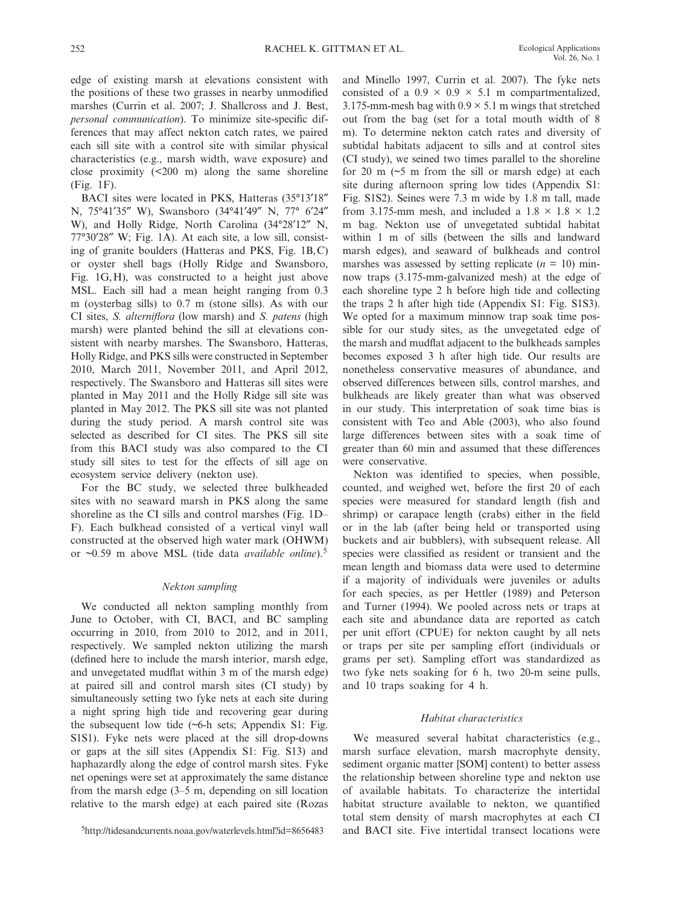edge of existing marsh at elevations consistent with the positions of these two grasses in nearby unmodified marshes (Currin et al. 2007; J. Shallcross and J. Best, *personal communication*). To minimize site-specific differences that may affect nekton catch rates, we paired each sill site with a control site with similar physical characteristics (e.g., marsh width, wave exposure) and close proximity  $(\leq 200 \text{ m})$  along the same shoreline (Fig. 1F).

 BACI sites were located in PKS, Hatteras (35°13′18″ N, 75°41′35″ W), Swansboro (34°41′49″ N, 77° 6′24″ W), and Holly Ridge, North Carolina (34°28′12″ N,  $77^{\circ}30'28''$  W; Fig. 1A). At each site, a low sill, consisting of granite boulders (Hatteras and PKS, Fig. 1B, C) or oyster shell bags (Holly Ridge and Swansboro, Fig.  $1G, H$ ), was constructed to a height just above MSL. Each sill had a mean height ranging from 0.3 m (oysterbag sills) to 0.7 m (stone sills). As with our CI sites, *S. alterniflora* (low marsh) and *S. patens* (high marsh) were planted behind the sill at elevations consistent with nearby marshes. The Swansboro, Hatteras, Holly Ridge, and PKS sills were constructed in September 2010, March 2011, November 2011, and April 2012, respectively. The Swansboro and Hatteras sill sites were planted in May 2011 and the Holly Ridge sill site was planted in May 2012. The PKS sill site was not planted during the study period. A marsh control site was selected as described for CI sites. The PKS sill site from this BACI study was also compared to the CI study sill sites to test for the effects of sill age on ecosystem service delivery (nekton use).

 For the BC study, we selected three bulkheaded sites with no seaward marsh in PKS along the same shoreline as the CI sills and control marshes (Fig. 1D– F). Each bulkhead consisted of a vertical vinyl wall constructed at the observed high water mark (OHWM) or ~0.59 m above MSL (tide data *available online* ). 5

# *Nekton sampling*

 We conducted all nekton sampling monthly from June to October, with CI, BACI, and BC sampling occurring in 2010, from 2010 to 2012, and in 2011, respectively. We sampled nekton utilizing the marsh (defined here to include the marsh interior, marsh edge, and unvegetated mudflat within 3 m of the marsh edge) at paired sill and control marsh sites (CI study) by simultaneously setting two fyke nets at each site during a night spring high tide and recovering gear during the subsequent low tide  $(\sim 6$ -h sets; Appendix S1: Fig. S1S1). Fyke nets were placed at the sill drop-downs or gaps at the sill sites (Appendix S1: Fig. S13) and haphazardly along the edge of control marsh sites. Fyke net openings were set at approximately the same distance from the marsh edge (3–5 m, depending on sill location relative to the marsh edge) at each paired site (Rozas

and Minello 1997, Currin et al. 2007). The fyke nets consisted of a  $0.9 \times 0.9 \times 5.1$  m compartmentalized, 3.175-mm-mesh bag with  $0.9 \times 5.1$  m wings that stretched out from the bag (set for a total mouth width of 8 m). To determine nekton catch rates and diversity of subtidal habitats adjacent to sills and at control sites (CI study), we seined two times parallel to the shoreline for 20 m  $(~5$  m from the sill or marsh edge) at each site during afternoon spring low tides (Appendix S1: Fig. S1S2). Seines were 7.3 m wide by 1.8 m tall, made from 3.175-mm mesh, and included a  $1.8 \times 1.8 \times 1.2$ m bag. Nekton use of unvegetated subtidal habitat within 1 m of sills (between the sills and landward marsh edges), and seaward of bulkheads and control marshes was assessed by setting replicate  $(n = 10)$  minnow traps (3.175-mm-galvanized mesh) at the edge of each shoreline type 2 h before high tide and collecting the traps 2 h after high tide (Appendix S1: Fig. S1S3). We opted for a maximum minnow trap soak time possible for our study sites, as the unvegetated edge of the marsh and mudflat adjacent to the bulkheads samples becomes exposed 3 h after high tide. Our results are nonetheless conservative measures of abundance, and observed differences between sills, control marshes, and bulkheads are likely greater than what was observed in our study. This interpretation of soak time bias is consistent with Teo and Able (2003), who also found large differences between sites with a soak time of greater than 60 min and assumed that these differences were conservative.

Nekton was identified to species, when possible, counted, and weighed wet, before the first 20 of each species were measured for standard length (fish and shrimp) or carapace length (crabs) either in the field or in the lab (after being held or transported using buckets and air bubblers), with subsequent release. All species were classified as resident or transient and the mean length and biomass data were used to determine if a majority of individuals were juveniles or adults for each species, as per Hettler (1989) and Peterson and Turner (1994). We pooled across nets or traps at each site and abundance data are reported as catch per unit effort (CPUE) for nekton caught by all nets or traps per site per sampling effort (individuals or grams per set). Sampling effort was standardized as two fyke nets soaking for 6 h, two 20-m seine pulls, and 10 traps soaking for 4 h.

# *Habitat characteristics*

 We measured several habitat characteristics (e.g., marsh surface elevation, marsh macrophyte density, sediment organic matter [SOM] content) to better assess the relationship between shoreline type and nekton use of available habitats. To characterize the intertidal habitat structure available to nekton, we quantified total stem density of marsh macrophytes at each CI <sup>5</sup>http://tidesandcurrents.noaa.gov/waterlevels.html?id=8656483 and BACI site. Five intertidal transect locations were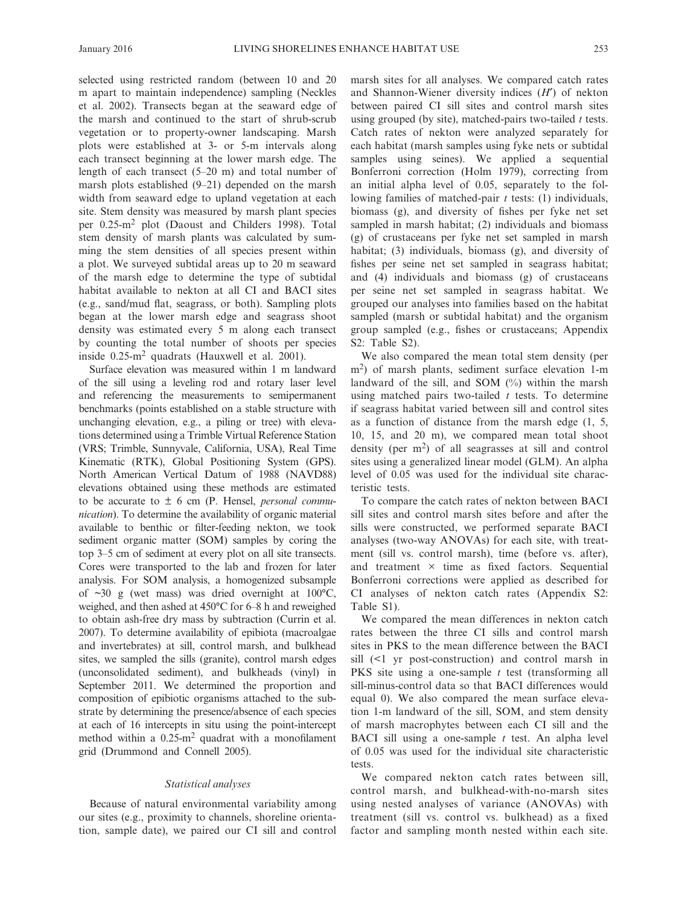selected using restricted random (between 10 and 20 m apart to maintain independence) sampling (Neckles et al. 2002). Transects began at the seaward edge of the marsh and continued to the start of shrub-scrub vegetation or to property-owner landscaping. Marsh plots were established at 3- or 5-m intervals along each transect beginning at the lower marsh edge. The length of each transect (5–20 m) and total number of marsh plots established (9–21) depended on the marsh width from seaward edge to upland vegetation at each site. Stem density was measured by marsh plant species per 0.25-m<sup>2</sup> plot (Daoust and Childers 1998). Total stem density of marsh plants was calculated by summing the stem densities of all species present within a plot. We surveyed subtidal areas up to 20 m seaward of the marsh edge to determine the type of subtidal habitat available to nekton at all CI and BACI sites (e.g., sand/mud flat, seagrass, or both). Sampling plots began at the lower marsh edge and seagrass shoot density was estimated every 5 m along each transect by counting the total number of shoots per species inside  $0.25 \text{ m}^2$  quadrats (Hauxwell et al. 2001).

 Surface elevation was measured within 1 m landward of the sill using a leveling rod and rotary laser level and referencing the measurements to semipermanent benchmarks (points established on a stable structure with unchanging elevation, e.g., a piling or tree) with elevations determined using a Trimble Virtual Reference Station (VRS; Trimble, Sunnyvale, California, USA), Real Time Kinematic (RTK), Global Positioning System (GPS). North American Vertical Datum of 1988 (NAVD88) elevations obtained using these methods are estimated to be accurate to ± 6 cm (P. Hensel, *personal communication*). To determine the availability of organic material available to benthic or filter-feeding nekton, we took sediment organic matter (SOM) samples by coring the top 3–5 cm of sediment at every plot on all site transects. Cores were transported to the lab and frozen for later analysis. For SOM analysis, a homogenized subsample of  $\sim$ 30 g (wet mass) was dried overnight at 100 $^{\circ}$ C, weighed, and then ashed at 450°C for 6–8 h and reweighed to obtain ash- free dry mass by subtraction (Currin et al. 2007). To determine availability of epibiota (macroalgae and invertebrates) at sill, control marsh, and bulkhead sites, we sampled the sills (granite), control marsh edges (unconsolidated sediment), and bulkheads (vinyl) in September 2011. We determined the proportion and composition of epibiotic organisms attached to the substrate by determining the presence/absence of each species at each of 16 intercepts in situ using the point-intercept method within a  $0.25 \text{ m}^2$  quadrat with a monofilament grid (Drummond and Connell 2005).

### *Statistical analyses*

 Because of natural environmental variability among our sites (e.g., proximity to channels, shoreline orientation, sample date), we paired our CI sill and control marsh sites for all analyses. We compared catch rates and Shannon-Wiener diversity indices (*H*<sup>'</sup>) of nekton between paired CI sill sites and control marsh sites using grouped (by site), matched- pairs two- tailed *t* tests. Catch rates of nekton were analyzed separately for each habitat (marsh samples using fyke nets or subtidal samples using seines). We applied a sequential Bonferroni correction (Holm 1979), correcting from an initial alpha level of 0.05, separately to the following families of matched-pair *t* tests: (1) individuals, biomass (g), and diversity of fishes per fyke net set sampled in marsh habitat; (2) individuals and biomass (g) of crustaceans per fyke net set sampled in marsh habitat; (3) individuals, biomass (g), and diversity of fishes per seine net set sampled in seagrass habitat; and (4) individuals and biomass (g) of crustaceans per seine net set sampled in seagrass habitat. We grouped our analyses into families based on the habitat sampled (marsh or subtidal habitat) and the organism group sampled (e.g., fishes or crustaceans; Appendix S2: Table S2).

 We also compared the mean total stem density (per  $m<sup>2</sup>$ ) of marsh plants, sediment surface elevation 1-m landward of the sill, and SOM  $(\%)$  within the marsh using matched pairs two-tailed  $t$  tests. To determine if seagrass habitat varied between sill and control sites as a function of distance from the marsh edge (1, 5, 10, 15, and 20 m), we compared mean total shoot density (per  $m<sup>2</sup>$ ) of all seagrasses at sill and control sites using a generalized linear model (GLM). An alpha level of 0.05 was used for the individual site characteristic tests.

 To compare the catch rates of nekton between BACI sill sites and control marsh sites before and after the sills were constructed, we performed separate BACI analyses (two-way ANOVAs) for each site, with treatment (sill vs. control marsh), time (before vs. after), and treatment  $\times$  time as fixed factors. Sequential Bonferroni corrections were applied as described for CI analyses of nekton catch rates (Appendix S2: Table S1).

 We compared the mean differences in nekton catch rates between the three CI sills and control marsh sites in PKS to the mean difference between the BACI  $sill$  (<1 yr post-construction) and control marsh in PKS site using a one-sample *t* test (transforming all sill-minus-control data so that BACI differences would equal 0). We also compared the mean surface elevation 1-m landward of the sill, SOM, and stem density of marsh macrophytes between each CI sill and the BACI sill using a one-sample *t* test. An alpha level of 0.05 was used for the individual site characteristic tests.

 We compared nekton catch rates between sill, control marsh, and bulkhead-with-no-marsh sites using nested analyses of variance (ANOVAs) with treatment (sill vs. control vs. bulkhead) as a fixed factor and sampling month nested within each site.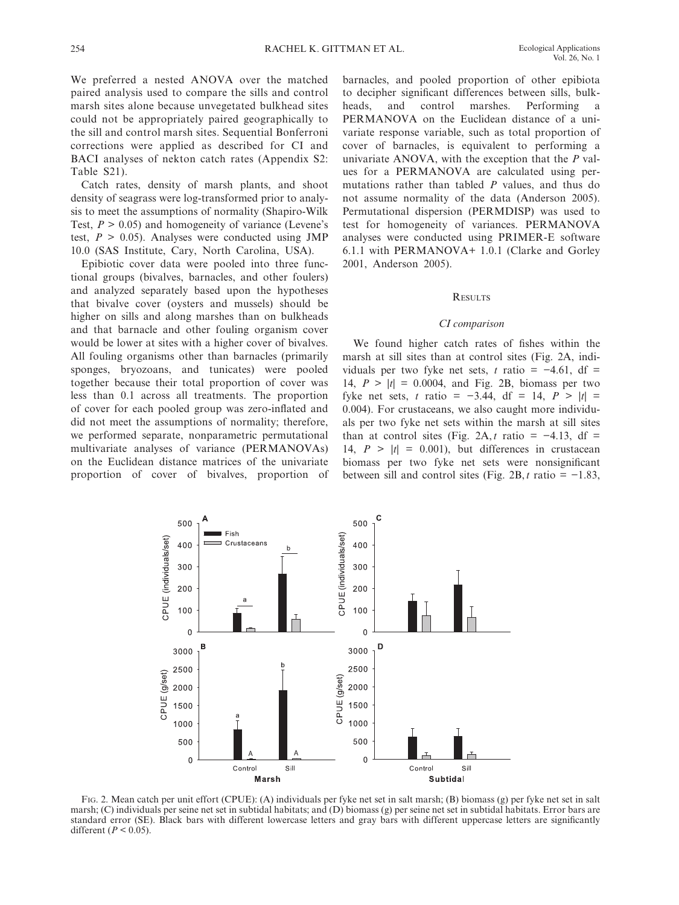We preferred a nested ANOVA over the matched paired analysis used to compare the sills and control marsh sites alone because unvegetated bulkhead sites could not be appropriately paired geographically to the sill and control marsh sites. Sequential Bonferroni corrections were applied as described for CI and BACI analyses of nekton catch rates (Appendix S2: Table S21).

 Catch rates, density of marsh plants, and shoot density of seagrass were log-transformed prior to analysis to meet the assumptions of normality (Shapiro-Wilk Test,  $P > 0.05$ ) and homogeneity of variance (Levene's test,  $P > 0.05$ ). Analyses were conducted using JMP 10.0 (SAS Institute, Cary, North Carolina, USA).

 Epibiotic cover data were pooled into three functional groups (bivalves, barnacles, and other foulers) and analyzed separately based upon the hypotheses that bivalve cover (oysters and mussels) should be higher on sills and along marshes than on bulkheads and that barnacle and other fouling organism cover would be lower at sites with a higher cover of bivalves. All fouling organisms other than barnacles (primarily sponges, bryozoans, and tunicates) were pooled together because their total proportion of cover was less than 0.1 across all treatments. The proportion of cover for each pooled group was zero-inflated and did not meet the assumptions of normality; therefore, we performed separate, nonparametric permutational multivariate analyses of variance (PERMANOVAs) on the Euclidean distance matrices of the univariate proportion of cover of bivalves, proportion of barnacles, and pooled proportion of other epibiota to decipher significant differences between sills, bulkheads, and control marshes. Performing a PERMANOVA on the Euclidean distance of a univariate response variable, such as total proportion of cover of barnacles, is equivalent to performing a univariate ANOVA, with the exception that the *P* values for a PERMANOVA are calculated using permutations rather than tabled *P* values, and thus do not assume normality of the data (Anderson 2005). Permutational dispersion (PERMDISP) was used to test for homogeneity of variances. PERMANOVA analyses were conducted using PRIMER-E software 6.1.1 with PERMANOVA+ 1.0.1 (Clarke and Gorley 2001, Anderson 2005).

#### **RESULTS**

#### *CI comparison*

We found higher catch rates of fishes within the marsh at sill sites than at control sites (Fig. 2A, individuals per two fyke net sets,  $t$  ratio =  $-4.61$ , df = 14,  $P > |t| = 0.0004$ , and Fig. 2B, biomass per two fyke net sets, *t* ratio = −3.44, df = 14,  $P > |t|$  = 0.004). For crustaceans, we also caught more individuals per two fyke net sets within the marsh at sill sites than at control sites (Fig. 2A, *t* ratio =  $-4.13$ , df = 14,  $P > |t| = 0.001$ , but differences in crustacean biomass per two fyke net sets were nonsignificant between sill and control sites (Fig. 2B, *t* ratio =  $-1.83$ ,



FIG. 2. Mean catch per unit effort (CPUE): (A) individuals per fyke net set in salt marsh; (B) biomass (g) per fyke net set in salt marsh; (C) individuals per seine net set in subtidal habitats; and (D) biomass (g) per seine net set in subtidal habitats. Error bars are standard error (SE). Black bars with different lowercase letters and gray bars with different uppercase letters are significantly different  $(P < 0.05)$ .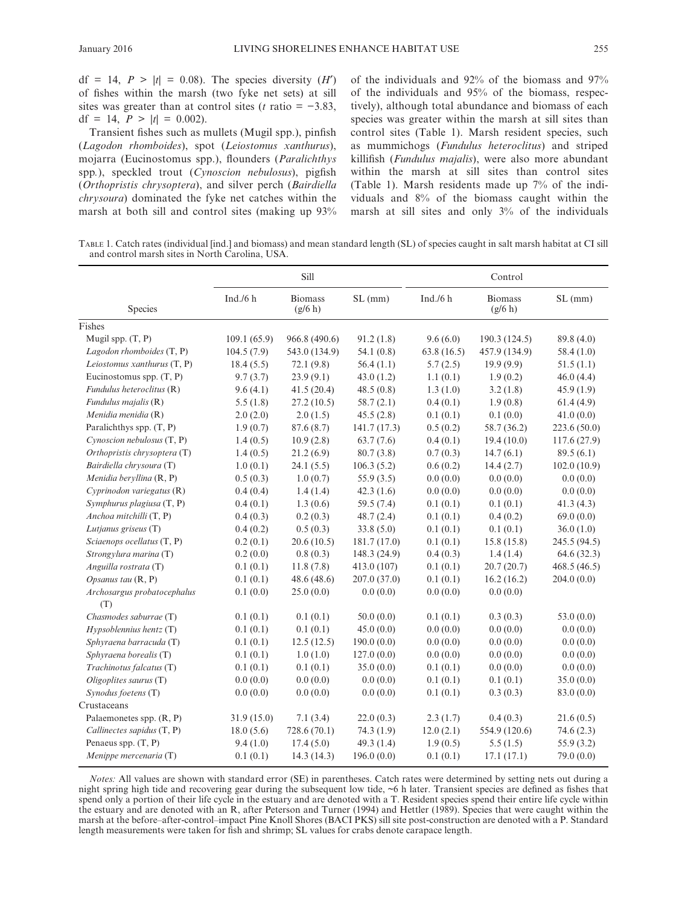$df = 14$ ,  $P > |t| = 0.08$ ). The species diversity  $(H')$ of fishes within the marsh (two fyke net sets) at sill sites was greater than at control sites ( $t$  ratio =  $-3.83$ , df = 14,  $P > |t| = 0.002$ .

Transient fishes such as mullets (Mugil spp.), pinfish ( *Lagodon rhomboides* ), spot ( *Leiostomus xanthurus* ), mojarra (Eucinostomus spp.), flounders (Paralichthys spp.), speckled trout (Cynoscion nebulosus), pigfish ( *Orthopristis chrysoptera* ), and silver perch ( *Bairdiella chrysoura* ) dominated the fyke net catches within the marsh at both sill and control sites (making up 93% of the individuals and 92% of the biomass and 97% of the individuals and 95% of the biomass, respectively), although total abundance and biomass of each species was greater within the marsh at sill sites than control sites (Table 1). Marsh resident species, such as mummichogs (*Fundulus heteroclitus*) and striped killifish (*Fundulus majalis*), were also more abundant within the marsh at sill sites than control sites (Table 1). Marsh residents made up  $7\%$  of the individuals and 8% of the biomass caught within the marsh at sill sites and only 3% of the individuals

 TABLE 1 . Catch rates (individual [ind.] and biomass) and mean standard length (SL) of species caught in salt marsh habitat at CI sill and control marsh sites in North Carolina, USA.

|                                    |             | Sill                      |              | Control     |                           |              |  |
|------------------------------------|-------------|---------------------------|--------------|-------------|---------------------------|--------------|--|
| Species                            | Ind. $/6 h$ | <b>Biomass</b><br>(g/6 h) | SL(mm)       | Ind. $/6 h$ | <b>Biomass</b><br>(g/6 h) | SL(mm)       |  |
| Fishes                             |             |                           |              |             |                           |              |  |
| Mugil spp. (T, P)                  | 109.1(65.9) | 966.8 (490.6)             | 91.2(1.8)    | 9.6(6.0)    | 190.3(124.5)              | 89.8 (4.0)   |  |
| Lagodon rhomboides (T, P)          | 104.5(7.9)  | 543.0 (134.9)             | 54.1(0.8)    | 63.8(16.5)  | 457.9 (134.9)             | 58.4(1.0)    |  |
| Leiostomus xanthurus $(T, P)$      | 18.4(5.5)   | 72.1(9.8)                 | 56.4(1.1)    | 5.7(2.5)    | 19.9(9.9)                 | 51.5(1.1)    |  |
| Eucinostomus spp. (T, P)           | 9.7(3.7)    | 23.9(9.1)                 | 43.0(1.2)    | 1.1(0.1)    | 1.9(0.2)                  | 46.0(4.4)    |  |
| Fundulus heteroclitus (R)          | 9.6(4.1)    | 41.5(20.4)                | 48.5(0.8)    | 1.3(1.0)    | 3.2(1.8)                  | 45.9(1.9)    |  |
| Fundulus majalis (R)               | 5.5(1.8)    | 27.2(10.5)                | 58.7(2.1)    | 0.4(0.1)    | 1.9(0.8)                  | 61.4(4.9)    |  |
| Menidia menidia (R)                | 2.0(2.0)    | 2.0(1.5)                  | 45.5(2.8)    | 0.1(0.1)    | 0.1(0.0)                  | 41.0(0.0)    |  |
| Paralichthys spp. $(T, P)$         | 1.9(0.7)    | 87.6(8.7)                 | 141.7(17.3)  | 0.5(0.2)    | 58.7 (36.2)               | 223.6(50.0)  |  |
| Cynoscion nebulosus (T, P)         | 1.4(0.5)    | 10.9(2.8)                 | 63.7(7.6)    | 0.4(0.1)    | 19.4(10.0)                | 117.6(27.9)  |  |
| Orthopristis chrysoptera (T)       | 1.4(0.5)    | 21.2(6.9)                 | 80.7(3.8)    | 0.7(0.3)    | 14.7(6.1)                 | 89.5(6.1)    |  |
| Bairdiella chrysoura (T)           | 1.0(0.1)    | 24.1(5.5)                 | 106.3(5.2)   | 0.6(0.2)    | 14.4(2.7)                 | 102.0(10.9)  |  |
| Menidia beryllina (R, P)           | 0.5(0.3)    | 1.0(0.7)                  | 55.9(3.5)    | 0.0(0.0)    | 0.0(0.0)                  | 0.0(0.0)     |  |
| Cyprinodon variegatus (R)          | 0.4(0.4)    | 1.4(1.4)                  | 42.3(1.6)    | 0.0(0.0)    | 0.0(0.0)                  | 0.0(0.0)     |  |
| Symphurus plagiusa (T, P)          | 0.4(0.1)    | 1.3(0.6)                  | 59.5 (7.4)   | 0.1(0.1)    | 0.1(0.1)                  | 41.3(4.3)    |  |
| Anchoa mitchilli (T, P)            | 0.4(0.3)    | 0.2(0.3)                  | 48.7(2.4)    | 0.1(0.1)    | 0.4(0.2)                  | 69.0(0.0)    |  |
| Lutjanus griseus (T)               | 0.4(0.2)    | 0.5(0.3)                  | 33.8(5.0)    | 0.1(0.1)    | 0.1(0.1)                  | 36.0(1.0)    |  |
| Sciaenops ocellatus (T, P)         | 0.2(0.1)    | 20.6(10.5)                | 181.7 (17.0) | 0.1(0.1)    | 15.8(15.8)                | 245.5 (94.5) |  |
| Strongylura marina (T)             | 0.2(0.0)    | 0.8(0.3)                  | 148.3 (24.9) | 0.4(0.3)    | 1.4(1.4)                  | 64.6(32.3)   |  |
| Anguilla rostrata (T)              | 0.1(0.1)    | 11.8(7.8)                 | 413.0 (107)  | 0.1(0.1)    | 20.7(20.7)                | 468.5(46.5)  |  |
| Opsanus tau $(R, P)$               | 0.1(0.1)    | 48.6(48.6)                | 207.0(37.0)  | 0.1(0.1)    | 16.2(16.2)                | 204.0(0.0)   |  |
| Archosargus probatocephalus<br>(T) | 0.1(0.0)    | 25.0(0.0)                 | 0.0(0.0)     | 0.0(0.0)    | 0.0(0.0)                  |              |  |
| Chasmodes saburrae (T)             | 0.1(0.1)    | 0.1(0.1)                  | 50.0(0.0)    | 0.1(0.1)    | 0.3(0.3)                  | 53.0(0.0)    |  |
| Hypsoblennius hentz(T)             | 0.1(0.1)    | 0.1(0.1)                  | 45.0(0.0)    | 0.0(0.0)    | 0.0(0.0)                  | 0.0(0.0)     |  |
| Sphyraena barracuda (T)            | 0.1(0.1)    | 12.5(12.5)                | 190.0(0.0)   | 0.0(0.0)    | 0.0(0.0)                  | 0.0(0.0)     |  |
| Sphyraena borealis (T)             | 0.1(0.1)    | 1.0(1.0)                  | 127.0(0.0)   | 0.0(0.0)    | 0.0(0.0)                  | 0.0(0.0)     |  |
| Trachinotus falcatus (T)           | 0.1(0.1)    | 0.1(0.1)                  | 35.0(0.0)    | 0.1(0.1)    | 0.0(0.0)                  | 0.0(0.0)     |  |
| Oligoplites saurus (T)             | 0.0(0.0)    | 0.0(0.0)                  | 0.0(0.0)     | 0.1(0.1)    | 0.1(0.1)                  | 35.0(0.0)    |  |
| Synodus foetens (T)                | 0.0(0.0)    | 0.0(0.0)                  | 0.0(0.0)     | 0.1(0.1)    | 0.3(0.3)                  | 83.0 (0.0)   |  |
| Crustaceans                        |             |                           |              |             |                           |              |  |
| Palaemonetes spp. (R, P)           | 31.9(15.0)  | 7.1(3.4)                  | 22.0(0.3)    | 2.3(1.7)    | 0.4(0.3)                  | 21.6(0.5)    |  |
| Callinectes sapidus (T, P)         | 18.0(5.6)   | 728.6 (70.1)              | 74.3(1.9)    | 12.0(2.1)   | 554.9 (120.6)             | 74.6(2.3)    |  |
| Penaeus spp. $(T, P)$              | 9.4(1.0)    | 17.4(5.0)                 | 49.3(1.4)    | 1.9(0.5)    | 5.5(1.5)                  | 55.9(3.2)    |  |
| Menippe mercenaria (T)             | 0.1(0.1)    | 14.3(14.3)                | 196.0(0.0)   | 0.1(0.1)    | 17.1(17.1)                | 79.0(0.0)    |  |

*Notes:* All values are shown with standard error (SE) in parentheses. Catch rates were determined by setting nets out during a night spring high tide and recovering gear during the subsequent low tide, ~6 h later. Transient species are defined as fishes that spend only a portion of their life cycle in the estuary and are denoted with a T. Resident species spend their entire life cycle within the estuary and are denoted with an R, after Peterson and Turner (1994) and Hettler (1989). Species that were caught within the marsh at the before–after- control–impact Pine Knoll Shores (BACI PKS) sill site post- construction are denoted with a P. Standard length measurements were taken for fish and shrimp; SL values for crabs denote carapace length.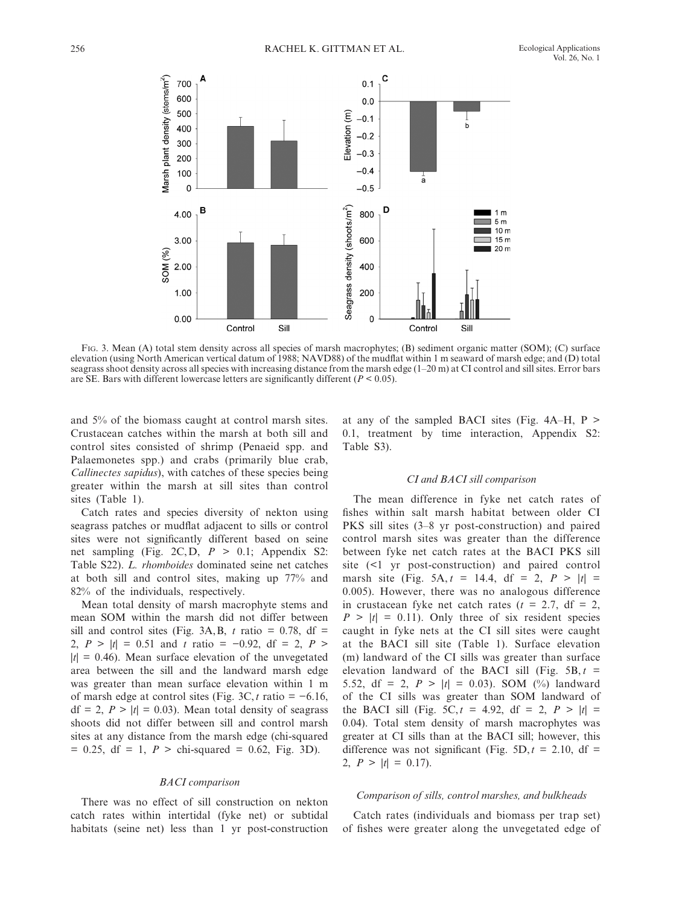

FIG. 3. Mean (A) total stem density across all species of marsh macrophytes; (B) sediment organic matter (SOM); (C) surface elevation (using North American vertical datum of 1988; NAVD88) of the mudflat within 1 m seaward of marsh edge; and (D) total seagrass shoot density across all species with increasing distance from the marsh edge (1–20 m) at CI control and sill sites. Error bars are SE. Bars with different lowercase letters are significantly different  $(P < 0.05)$ .

and 5% of the biomass caught at control marsh sites. Crustacean catches within the marsh at both sill and control sites consisted of shrimp (Penaeid spp. and Palaemonetes spp.) and crabs (primarily blue crab, *Callinectes sapidus* ), with catches of these species being greater within the marsh at sill sites than control sites (Table 1).

 Catch rates and species diversity of nekton using seagrass patches or mudflat adjacent to sills or control sites were not significantly different based on seine net sampling (Fig. 2C, D,  $P > 0.1$ ; Appendix S2: Table S22). *L. rhomboides* dominated seine net catches at both sill and control sites, making up 77% and 82% of the individuals, respectively.

 Mean total density of marsh macrophyte stems and mean SOM within the marsh did not differ between sill and control sites (Fig. 3A, B,  $t$  ratio = 0.78, df = 2,  $P > |t| = 0.51$  and  $t$  ratio = −0.92, df = 2,  $P >$  $|t| = 0.46$ ). Mean surface elevation of the unvegetated area between the sill and the landward marsh edge was greater than mean surface elevation within 1 m of marsh edge at control sites (Fig. 3C,  $t$  ratio =  $-6.16$ ,  $df = 2$ ,  $P > |t| = 0.03$ ). Mean total density of seagrass shoots did not differ between sill and control marsh sites at any distance from the marsh edge (chi-squared  $= 0.25$ , df  $= 1$ ,  $P >$  chi-squared  $= 0.62$ , Fig. 3D).

#### *BACI comparison*

 There was no effect of sill construction on nekton catch rates within intertidal (fyke net) or subtidal habitats (seine net) less than 1 yr post-construction at any of the sampled BACI sites (Fig.  $4A-H$ , P > 0.1, treatment by time interaction, Appendix S2: Table S3).

## *CI and BACI sill comparison*

 The mean difference in fyke net catch rates of fishes within salt marsh habitat between older CI PKS sill sites (3–8 yr post-construction) and paired control marsh sites was greater than the difference between fyke net catch rates at the BACI PKS sill site  $($  <math>1</math> yr post-construction) and paired control marsh site (Fig. 5A,  $t = 14.4$ , df = 2,  $P > |t|$  = 0.005). However, there was no analogous difference in crustacean fyke net catch rates  $(t = 2.7, df = 2,$  $P > |t| = 0.11$ . Only three of six resident species caught in fyke nets at the CI sill sites were caught at the BACI sill site (Table 1). Surface elevation (m) landward of the CI sills was greater than surface elevation landward of the BACI sill (Fig.  $5B, t =$ 5.52, df = 2,  $P > |t| = 0.03$ ). SOM (%) landward of the CI sills was greater than SOM landward of the BACI sill (Fig. 5C,  $t = 4.92$ , df = 2,  $P > |t|$  = 0.04). Total stem density of marsh macrophytes was greater at CI sills than at the BACI sill; however, this difference was not significant (Fig.  $5D, t = 2.10, df =$ 2,  $P > |t| = 0.17$ .

#### *Comparison of sills, control marshes, and bulkheads*

 Catch rates (individuals and biomass per trap set) of fishes were greater along the unvegetated edge of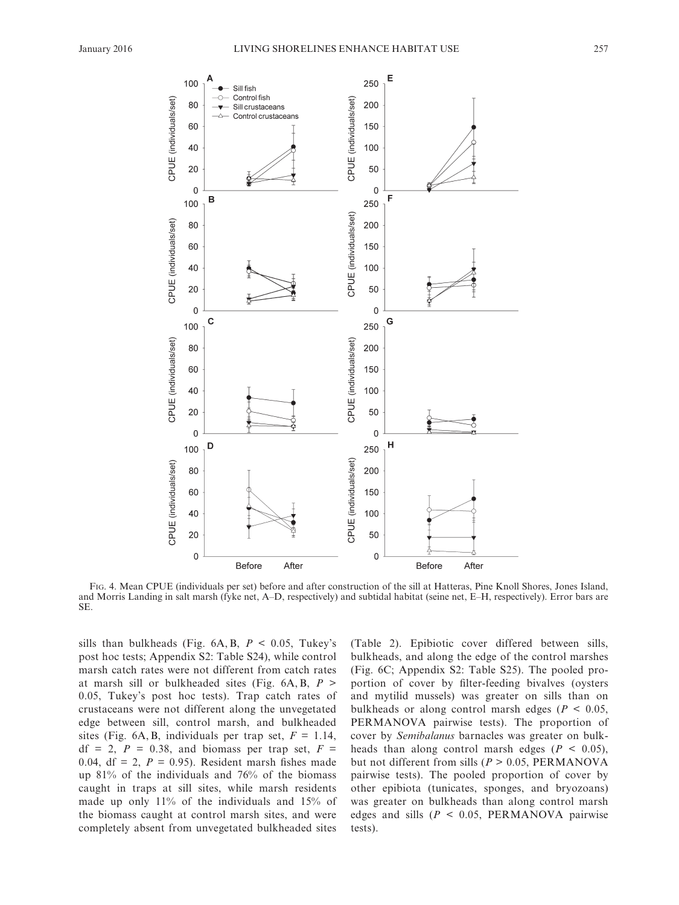

 FIG. 4 . Mean CPUE (individuals per set) before and after construction of the sill at Hatteras, Pine Knoll Shores, Jones Island, and Morris Landing in salt marsh (fyke net, A–D, respectively) and subtidal habitat (seine net, E–H, respectively). Error bars are SE .

sills than bulkheads (Fig.  $6A, B, P < 0.05$ , Tukey's post hoc tests; Appendix S2: Table S24), while control marsh catch rates were not different from catch rates at marsh sill or bulkheaded sites (Fig.  $6A, B, P >$ 0.05, Tukey's post hoc tests). Trap catch rates of crustaceans were not different along the unvegetated edge between sill, control marsh, and bulkheaded sites (Fig. 6A, B, individuals per trap set,  $F = 1.14$ ,  $df = 2$ ,  $P = 0.38$ , and biomass per trap set,  $F =$ 0.04,  $df = 2$ ,  $P = 0.95$ ). Resident marsh fishes made up 81% of the individuals and 76% of the biomass caught in traps at sill sites, while marsh residents made up only 11% of the individuals and 15% of the biomass caught at control marsh sites, and were completely absent from unvegetated bulkheaded sites (Table 2). Epibiotic cover differed between sills, bulkheads, and along the edge of the control marshes (Fig. 6C; Appendix S2: Table S25). The pooled proportion of cover by filter-feeding bivalves (oysters and mytilid mussels) was greater on sills than on bulkheads or along control marsh edges ( $P < 0.05$ , PERMANOVA pairwise tests). The proportion of cover by *Semibalanus* barnacles was greater on bulkheads than along control marsh edges ( $P < 0.05$ ), but not different from sills ( $P > 0.05$ , PERMANOVA pairwise tests). The pooled proportion of cover by other epibiota (tunicates, sponges, and bryozoans) was greater on bulkheads than along control marsh edges and sills  $(P < 0.05, PERMANOVA$  pairwise tests).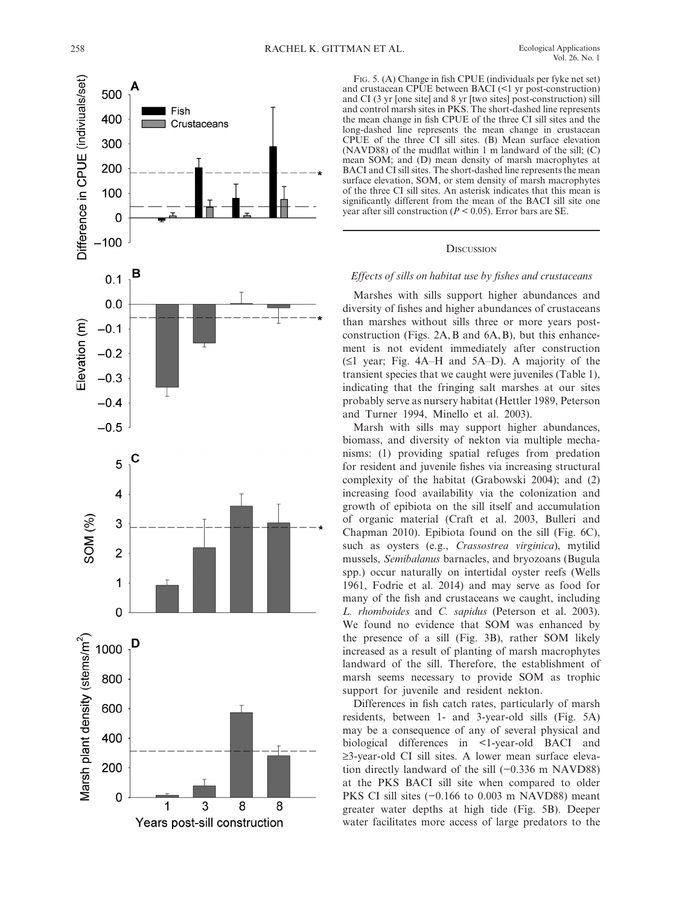

FIG. 5. (A) Change in fish CPUE (individuals per fyke net set) and crustacean CPUE between BACI (<1 yr post-construction) and CI (3 yr [one site] and 8 yr [two sites] post-construction) sill and control marsh sites in PKS . The short- dashed line represents the mean change in fish CPUE of the three CI sill sites and the long-dashed line represents the mean change in crustacean CPUE of the three CI sill sites. (B) Mean surface elevation (NAVD88) of the mudflat within  $1 \text{ m}$  landward of the sill; (C) mean SOM; and (D) mean density of marsh macrophytes at BACI and CI sill sites. The short- dashed line represents the mean surface elevation, SOM, or stem density of marsh macrophytes of the three CI sill sites. An asterisk indicates that this mean is significantly different from the mean of the BACI sill site one year after sill construction  $(P < 0.05)$ . Error bars are SE.

#### **DISCUSSION**

## Effects of sills on habitat use by fishes and crustaceans

 Marshes with sills support higher abundances and diversity of fishes and higher abundances of crustaceans than marshes without sills three or more years postconstruction (Figs.  $2A$ , B and  $6A$ , B), but this enhancement is not evident immediately after construction  $(≤1$  year; Fig. 4A–H and 5A–D). A majority of the transient species that we caught were juveniles (Table 1), indicating that the fringing salt marshes at our sites probably serve as nursery habitat (Hettler 1989 , Peterson and Turner 1994, Minello et al. 2003).

 Marsh with sills may support higher abundances, biomass, and diversity of nekton via multiple mechanisms: (1) providing spatial refuges from predation for resident and juvenile fishes via increasing structural complexity of the habitat (Grabowski 2004); and  $(2)$ increasing food availability via the colonization and growth of epibiota on the sill itself and accumulation of organic material (Craft et al. 2003, Bulleri and Chapman 2010). Epibiota found on the sill (Fig.  $6C$ ), such as oysters (e.g., *Crassostrea virginica*), mytilid mussels, *Semibalanus* barnacles, and bryozoans (Bugula spp.) occur naturally on intertidal oyster reefs (Wells 1961, Fodrie et al. 2014) and may serve as food for many of the fish and crustaceans we caught, including *L. rhomboides* and *C. sapidus* (Peterson et al. 2003). We found no evidence that SOM was enhanced by the presence of a sill (Fig. 3B), rather SOM likely increased as a result of planting of marsh macrophytes landward of the sill. Therefore, the establishment of marsh seems necessary to provide SOM as trophic support for juvenile and resident nekton.

Differences in fish catch rates, particularly of marsh residents, between 1- and 3-year-old sills (Fig. 5A) may be a consequence of any of several physical and biological differences in <1-year-old BACI and ≥3- year- old CI sill sites. A lower mean surface elevation directly landward of the sill (−0.336 m NAVD88) at the PKS BACI sill site when compared to older PKS CI sill sites (−0.166 to 0.003 m NAVD88) meant greater water depths at high tide (Fig. 5B). Deeper water facilitates more access of large predators to the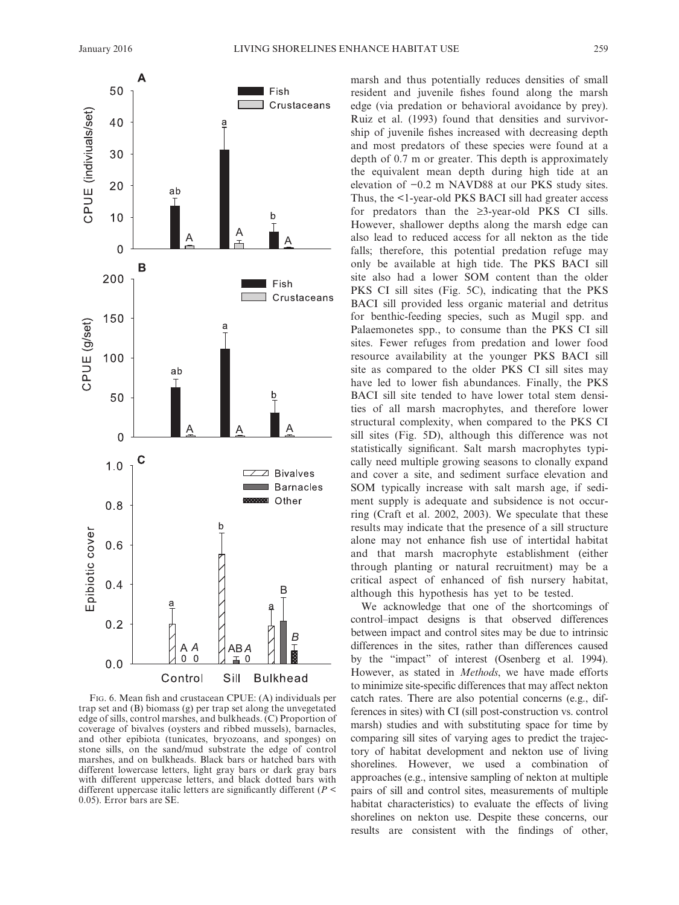

FIG. 6. Mean fish and crustacean CPUE: (A) individuals per trap set and (B) biomass (g) per trap set along the unvegetated edge of sills, control marshes, and bulkheads. (C) Proportion of coverage of bivalves (oysters and ribbed mussels), barnacles, and other epibiota (tunicates, bryozoans, and sponges) on stone sills, on the sand/mud substrate the edge of control marshes, and on bulkheads. Black bars or hatched bars with different lowercase letters, light gray bars or dark gray bars with different uppercase letters, and black dotted bars with different uppercase italic letters are significantly different ( $P \leq$ 0.05). Error bars are SE.

marsh and thus potentially reduces densities of small resident and juvenile fishes found along the marsh edge (via predation or behavioral avoidance by prey). Ruiz et al. (1993) found that densities and survivorship of juvenile fishes increased with decreasing depth and most predators of these species were found at a depth of 0.7 m or greater. This depth is approximately the equivalent mean depth during high tide at an elevation of −0.2 m NAVD88 at our PKS study sites. Thus, the <1-year-old PKS BACI sill had greater access for predators than the  $\geq$ 3-year-old PKS CI sills. However, shallower depths along the marsh edge can also lead to reduced access for all nekton as the tide falls; therefore, this potential predation refuge may only be available at high tide. The PKS BACI sill site also had a lower SOM content than the older PKS CI sill sites (Fig. 5C), indicating that the PKS BACI sill provided less organic material and detritus for benthic- feeding species, such as Mugil spp. and Palaemonetes spp., to consume than the PKS CI sill sites. Fewer refuges from predation and lower food resource availability at the younger PKS BACI sill site as compared to the older PKS CI sill sites may have led to lower fish abundances. Finally, the PKS BACI sill site tended to have lower total stem densities of all marsh macrophytes, and therefore lower structural complexity, when compared to the PKS CI sill sites (Fig. 5D), although this difference was not statistically significant. Salt marsh macrophytes typically need multiple growing seasons to clonally expand and cover a site, and sediment surface elevation and SOM typically increase with salt marsh age, if sediment supply is adequate and subsidence is not occurring (Craft et al. 2002, 2003). We speculate that these results may indicate that the presence of a sill structure alone may not enhance fish use of intertidal habitat and that marsh macrophyte establishment (either through planting or natural recruitment) may be a critical aspect of enhanced of fish nursery habitat, although this hypothesis has yet to be tested.

 We acknowledge that one of the shortcomings of control–impact designs is that observed differences between impact and control sites may be due to intrinsic differences in the sites, rather than differences caused by the "impact" of interest (Osenberg et al. 1994). However, as stated in *Methods*, we have made efforts to minimize site-specific differences that may affect nekton catch rates. There are also potential concerns (e.g., differences in sites) with CI (sill post-construction vs. control marsh) studies and with substituting space for time by comparing sill sites of varying ages to predict the trajectory of habitat development and nekton use of living shorelines. However, we used a combination of approaches (e.g., intensive sampling of nekton at multiple pairs of sill and control sites, measurements of multiple habitat characteristics) to evaluate the effects of living shorelines on nekton use. Despite these concerns, our results are consistent with the findings of other,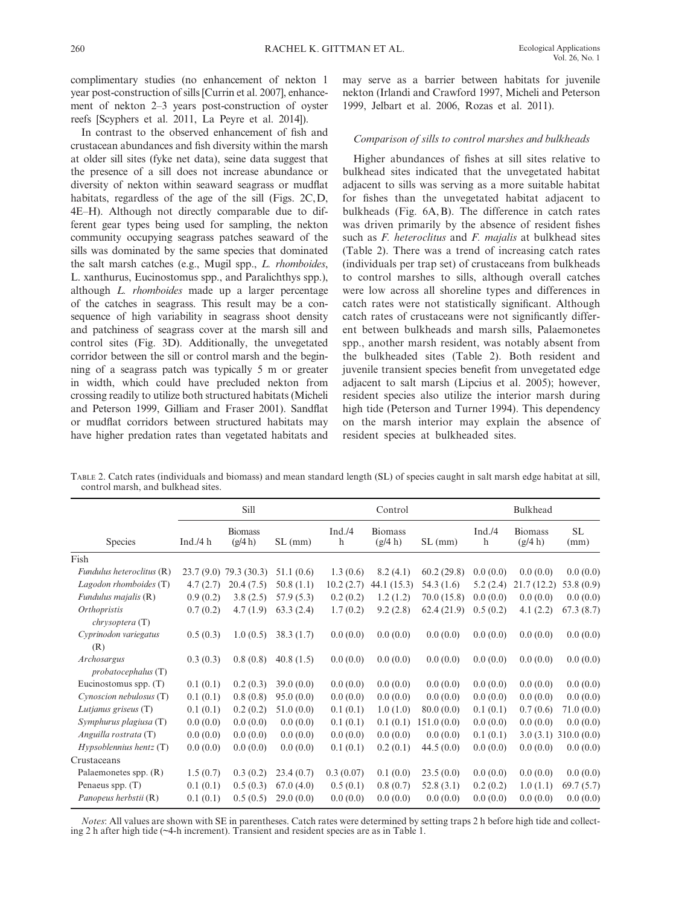complimentary studies (no enhancement of nekton 1 year post-construction of sills [Currin et al. 2007], enhancement of nekton 2–3 years post-construction of oyster reefs [Scyphers et al. 2011, La Peyre et al. 2014]).

In contrast to the observed enhancement of fish and crustacean abundances and fish diversity within the marsh at older sill sites (fyke net data), seine data suggest that the presence of a sill does not increase abundance or diversity of nekton within seaward seagrass or mudflat habitats, regardless of the age of the sill (Figs.  $2C, D$ , 4E–H). Although not directly comparable due to different gear types being used for sampling, the nekton community occupying seagrass patches seaward of the sills was dominated by the same species that dominated the salt marsh catches (e.g., Mugil spp., *L. rhomboides* , L. xanthurus, Eucinostomus spp., and Paralichthys spp.), although *L. rhomboides* made up a larger percentage of the catches in seagrass. This result may be a consequence of high variability in seagrass shoot density and patchiness of seagrass cover at the marsh sill and control sites (Fig. 3D). Additionally, the unvegetated corridor between the sill or control marsh and the beginning of a seagrass patch was typically 5 m or greater in width, which could have precluded nekton from crossing readily to utilize both structured habitats (Micheli and Peterson 1999, Gilliam and Fraser 2001). Sandflat or mudflat corridors between structured habitats may have higher predation rates than vegetated habitats and

may serve as a barrier between habitats for juvenile nekton (Irlandi and Crawford 1997, Micheli and Peterson 1999. Jelbart et al. 2006. Rozas et al. 2011).

# *Comparison of sills to control marshes and bulkheads*

Higher abundances of fishes at sill sites relative to bulkhead sites indicated that the unvegetated habitat adjacent to sills was serving as a more suitable habitat for fishes than the unvegetated habitat adjacent to bulkheads (Fig. 6A, B). The difference in catch rates was driven primarily by the absence of resident fishes such as *F. heteroclitus* and *F. majalis* at bulkhead sites (Table 2). There was a trend of increasing catch rates (individuals per trap set) of crustaceans from bulkheads to control marshes to sills, although overall catches were low across all shoreline types and differences in catch rates were not statistically significant. Although catch rates of crustaceans were not significantly different between bulkheads and marsh sills, Palaemonetes spp., another marsh resident, was notably absent from the bulkheaded sites (Table 2). Both resident and juvenile transient species benefit from unvegetated edge adjacent to salt marsh (Lipcius et al. 2005); however, resident species also utilize the interior marsh during high tide (Peterson and Turner 1994). This dependency on the marsh interior may explain the absence of resident species at bulkheaded sites.

|                                       | Sill        |                           |           | Control      |                           |            | Bulkhead     |                           |             |
|---------------------------------------|-------------|---------------------------|-----------|--------------|---------------------------|------------|--------------|---------------------------|-------------|
| <b>Species</b>                        | Ind. $/4 h$ | <b>Biomass</b><br>(g/4 h) | SL(mm)    | Ind. /4<br>h | <b>Biomass</b><br>(g/4 h) | SL(mm)     | Ind. /4<br>h | <b>Biomass</b><br>(g/4 h) | SL.<br>(mm) |
| Fish                                  |             |                           |           |              |                           |            |              |                           |             |
| Fundulus heteroclitus (R)             |             | 23.7 (9.0) 79.3 (30.3)    | 51.1(0.6) | 1.3(0.6)     | 8.2(4.1)                  | 60.2(29.8) | 0.0(0.0)     | 0.0(0.0)                  | 0.0(0.0)    |
| Lagodon rhomboides (T)                | 4.7(2.7)    | 20.4(7.5)                 | 50.8(1.1) | 10.2(2.7)    | 44.1 (15.3)               | 54.3 (1.6) | 5.2(2.4)     | 21.7(12.2)                | 53.8(0.9)   |
| Fundulus majalis (R)                  | 0.9(0.2)    | 3.8(2.5)                  | 57.9(5.3) | 0.2(0.2)     | 1.2(1.2)                  | 70.0(15.8) | 0.0(0.0)     | 0.0(0.0)                  | 0.0(0.0)    |
| <i>Orthopristis</i><br>chrysoptera(T) | 0.7(0.2)    | 4.7(1.9)                  | 63.3(2.4) | 1.7(0.2)     | 9.2(2.8)                  | 62.4(21.9) | 0.5(0.2)     | 4.1(2.2)                  | 67.3(8.7)   |
| Cyprinodon variegatus<br>(R)          | 0.5(0.3)    | 1.0(0.5)                  | 38.3(1.7) | 0.0(0.0)     | 0.0(0.0)                  | 0.0(0.0)   | 0.0(0.0)     | 0.0(0.0)                  | 0.0(0.0)    |
| Archosargus<br>probatocephalus(T)     | 0.3(0.3)    | 0.8(0.8)                  | 40.8(1.5) | 0.0(0.0)     | 0.0(0.0)                  | 0.0(0.0)   | 0.0(0.0)     | 0.0(0.0)                  | 0.0(0.0)    |
| Eucinostomus spp. $(T)$               | 0.1(0.1)    | 0.2(0.3)                  | 39.0(0.0) | 0.0(0.0)     | 0.0(0.0)                  | 0.0(0.0)   | 0.0(0.0)     | 0.0(0.0)                  | 0.0(0.0)    |
| Cynoscion nebulosus (T)               | 0.1(0.1)    | 0.8(0.8)                  | 95.0(0.0) | 0.0(0.0)     | 0.0(0.0)                  | 0.0(0.0)   | 0.0(0.0)     | 0.0(0.0)                  | 0.0(0.0)    |
| Lutjanus griseus (T)                  | 0.1(0.1)    | 0.2(0.2)                  | 51.0(0.0) | 0.1(0.1)     | 1.0(1.0)                  | 80.0(0.0)  | 0.1(0.1)     | 0.7(0.6)                  | 71.0(0.0)   |
| Symphurus plagiusa (T)                | 0.0(0.0)    | 0.0(0.0)                  | 0.0(0.0)  | 0.1(0.1)     | 0.1(0.1)                  | 151.0(0.0) | 0.0(0.0)     | 0.0(0.0)                  | 0.0(0.0)    |
| Anguilla rostrata $(T)$               | 0.0(0.0)    | 0.0(0.0)                  | 0.0(0.0)  | 0.0(0.0)     | 0.0(0.0)                  | 0.0(0.0)   | 0.1(0.1)     | 3.0(3.1)                  | 310.0(0.0)  |
| Hypsoblennius hentz(T)                | 0.0(0.0)    | 0.0(0.0)                  | 0.0(0.0)  | 0.1(0.1)     | 0.2(0.1)                  | 44.5(0.0)  | 0.0(0.0)     | 0.0(0.0)                  | 0.0(0.0)    |
| Crustaceans                           |             |                           |           |              |                           |            |              |                           |             |
| Palaemonetes spp. (R)                 | 1.5(0.7)    | 0.3(0.2)                  | 23.4(0.7) | 0.3(0.07)    | 0.1(0.0)                  | 23.5(0.0)  | 0.0(0.0)     | 0.0(0.0)                  | 0.0(0.0)    |
| Penaeus spp. $(T)$                    | 0.1(0.1)    | 0.5(0.3)                  | 67.0(4.0) | 0.5(0.1)     | 0.8(0.7)                  | 52.8(3.1)  | 0.2(0.2)     | 1.0(1.1)                  | 69.7(5.7)   |
| Panopeus herbstii (R)                 | 0.1(0.1)    | 0.5(0.5)                  | 29.0(0.0) | 0.0(0.0)     | 0.0(0.0)                  | 0.0(0.0)   | 0.0(0.0)     | 0.0(0.0)                  | 0.0(0.0)    |

 TABLE 2 . Catch rates (individuals and biomass) and mean standard length (SL) of species caught in salt marsh edge habitat at sill, control marsh, and bulkhead sites.

*Notes* : All values are shown with SE in parentheses. Catch rates were determined by setting traps 2 h before high tide and collecting 2 h after high tide (~4-h increment). Transient and resident species are as in Table 1.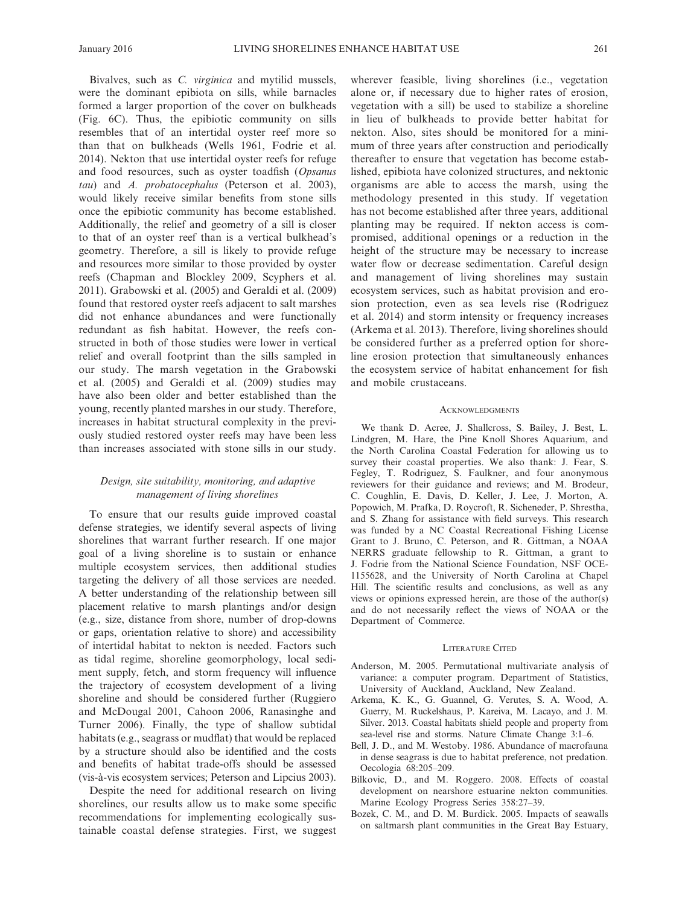Bivalves, such as *C. virginica* and mytilid mussels, were the dominant epibiota on sills, while barnacles formed a larger proportion of the cover on bulkheads (Fig. 6C). Thus, the epibiotic community on sills resembles that of an intertidal oyster reef more so than that on bulkheads (Wells 1961, Fodrie et al. 2014). Nekton that use intertidal oyster reefs for refuge and food resources, such as oyster toadfish (*Opsanus* tau) and *A. probatocephalus* (Peterson et al. 2003), would likely receive similar benefits from stone sills once the epibiotic community has become established. Additionally, the relief and geometry of a sill is closer to that of an oyster reef than is a vertical bulkhead's geometry. Therefore, a sill is likely to provide refuge and resources more similar to those provided by oyster reefs (Chapman and Blockley 2009, Scyphers et al. 2011). Grabowski et al. (2005) and Geraldi et al. (2009) found that restored oyster reefs adjacent to salt marshes did not enhance abundances and were functionally redundant as fish habitat. However, the reefs constructed in both of those studies were lower in vertical relief and overall footprint than the sills sampled in our study. The marsh vegetation in the Grabowski et al. (2005) and Geraldi et al. (2009) studies may have also been older and better established than the young, recently planted marshes in our study. Therefore, increases in habitat structural complexity in the previously studied restored oyster reefs may have been less than increases associated with stone sills in our study.

# *Design, site suitability, monitoring, and adaptive management of living shorelines*

 To ensure that our results guide improved coastal defense strategies, we identify several aspects of living shorelines that warrant further research. If one major goal of a living shoreline is to sustain or enhance multiple ecosystem services, then additional studies targeting the delivery of all those services are needed. A better understanding of the relationship between sill placement relative to marsh plantings and/or design (e.g., size, distance from shore, number of drop-downs or gaps, orientation relative to shore) and accessibility of intertidal habitat to nekton is needed. Factors such as tidal regime, shoreline geomorphology, local sediment supply, fetch, and storm frequency will influence the trajectory of ecosystem development of a living shoreline and should be considered further (Ruggiero and McDougal 2001, Cahoon 2006, Ranasinghe and Turner 2006). Finally, the type of shallow subtidal habitats (e.g., seagrass or mudflat) that would be replaced by a structure should also be identified and the costs and benefits of habitat trade-offs should be assessed (vis- à- vis ecosystem services; Peterson and Lipcius 2003 ).

 Despite the need for additional research on living shorelines, our results allow us to make some specific recommendations for implementing ecologically sustainable coastal defense strategies. First, we suggest wherever feasible, living shorelines (i.e., vegetation alone or, if necessary due to higher rates of erosion, vegetation with a sill) be used to stabilize a shoreline in lieu of bulkheads to provide better habitat for nekton. Also, sites should be monitored for a minimum of three years after construction and periodically thereafter to ensure that vegetation has become established, epibiota have colonized structures, and nektonic organisms are able to access the marsh, using the methodology presented in this study. If vegetation has not become established after three years, additional planting may be required. If nekton access is compromised, additional openings or a reduction in the height of the structure may be necessary to increase water flow or decrease sedimentation. Careful design and management of living shorelines may sustain ecosystem services, such as habitat provision and erosion protection, even as sea levels rise (Rodriguez et al. 2014) and storm intensity or frequency increases (Arkema et al. 2013). Therefore, living shorelines should be considered further as a preferred option for shoreline erosion protection that simultaneously enhances the ecosystem service of habitat enhancement for fish and mobile crustaceans.

#### **ACKNOWLEDGMENTS**

 We thank D. Acree, J. Shallcross, S. Bailey, J. Best, L. Lindgren, M. Hare, the Pine Knoll Shores Aquarium, and the North Carolina Coastal Federation for allowing us to survey their coastal properties. We also thank: J. Fear, S. Fegley, T. Rodriguez, S. Faulkner, and four anonymous reviewers for their guidance and reviews; and M. Brodeur, C. Coughlin, E. Davis, D. Keller, J. Lee, J. Morton, A. Popowich, M. Prafka, D. Roycroft, R. Sicheneder, P. Shrestha, and S. Zhang for assistance with field surveys. This research was funded by a NC Coastal Recreational Fishing License Grant to J. Bruno, C. Peterson, and R. Gittman, a NOAA NERRS graduate fellowship to R. Gittman, a grant to J. Fodrie from the National Science Foundation, NSF OCE-1155628, and the University of North Carolina at Chapel Hill. The scientific results and conclusions, as well as any views or opinions expressed herein, are those of the author(s) and do not necessarily reflect the views of NOAA or the Department of Commerce.

#### LITERATURE CITED

- Anderson, M. 2005. Permutational multivariate analysis of variance: a computer program. Department of Statistics, University of Auckland, Auckland, New Zealand.
- Arkema, K. K., G. Guannel, G. Verutes, S. A. Wood, A. Guerry, M. Ruckelshaus, P. Kareiva, M. Lacayo, and J. M. Silver. 2013. Coastal habitats shield people and property from sea-level rise and storms. Nature Climate Change 3:1-6.
- Bell, J. D., and M. Westoby, 1986. Abundance of macrofauna in dense seagrass is due to habitat preference, not predation. Oecologia 68:205-209.
- Bilkovic, D., and M. Roggero. 2008. Effects of coastal development on nearshore estuarine nekton communities. Marine Ecology Progress Series 358:27-39.
- Bozek, C. M., and D. M. Burdick. 2005. Impacts of seawalls on saltmarsh plant communities in the Great Bay Estuary,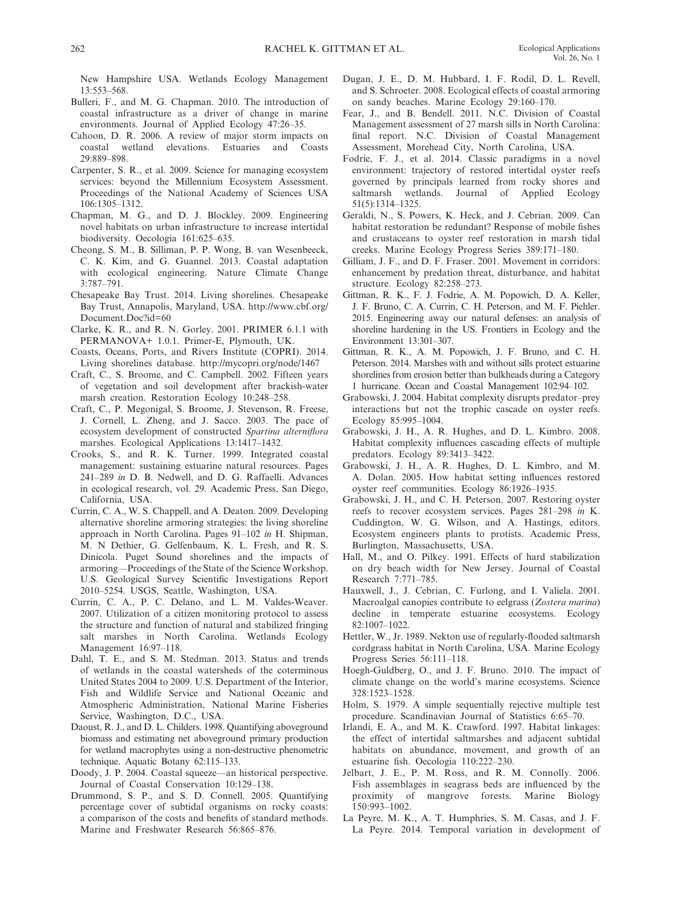New Hampshire USA. Wetlands Ecology Management 13:553-568.

- Bulleri, F., and M. G. Chapman. 2010. The introduction of coastal infrastructure as a driver of change in marine environments. Journal of Applied Ecology 47:26-35.
- Cahoon, D. R. 2006. A review of major storm impacts on coastal wetland elevations . Estuaries and Coasts 29 - 898 - 898
- Carpenter, S. R., et al. 2009. Science for managing ecosystem services: beyond the Millennium Ecosystem Assessment. Proceedings of the National Academy of Sciences USA  $106 \cdot 1305 - 1312$
- Chapman, M. G., and D. J. Blockley. 2009. Engineering novel habitats on urban infrastructure to increase intertidal biodiversity. Oecologia 161:625-635.
- Cheong, S. M., B. Silliman, P. P. Wong, B. van Wesenbeeck, C. K. Kim, and G. Guannel. 2013. Coastal adaptation with ecological engineering. Nature Climate Change  $3:787 - 791.$
- Chesapeake Bay Trust. 2014. Living shorelines. Chesapeake Bay Trust, Annapolis, Maryland, USA. http://www.cbf.org/ Document.Doc?id=60
- Clarke, K. R., and R. N. Gorley. 2001. PRIMER 6.1.1 with PERMANOVA+ 1.0.1. Primer-E, Plymouth, UK.
- Coasts, Oceans, Ports, and Rivers Institute (COPRI). 2014. Living shorelines database . http://mycopri.org/node/1467
- Craft, C., S. Broome, and C. Campbell. 2002. Fifteen years of vegetation and soil development after brackish- water marsh creation. Restoration Ecology 10:248-258.
- Craft, C., P. Megonigal, S. Broome, J. Stevenson, R. Freese, J. Cornell, L. Zheng, and J. Sacco. 2003. The pace of ecosystem development of constructed *Spartina alterniflora* marshes. Ecological Applications 13:1417-1432.
- Crooks, S., and R. K. Turner. 1999. Integrated coastal management: sustaining estuarine natural resources . Pages 241-289 *in* D. B. Nedwell, and D. G. Raffaelli. Advances in ecological research, vol. 29. Academic Press, San Diego, California, USA.
- Currin, C. A., W. S. Chappell, and A. Deaton. 2009. Developing alternative shoreline armoring strategies: the living shoreline approach in North Carolina. Pages 91-102 *in* H. Shipman, M. N Dethier, G. Gelfenbaum, K. L. Fresh, and R. S. Dinicola . Puget Sound shorelines and the impacts of armoring—Proceedings of the State of the Science Workshop. U.S. Geological Survey Scientific Investigations Report 2010–5254. USGS, Seattle, Washington, USA.
- Currin, C. A., P. C. Delano, and L. M. Valdes-Weaver. 2007. Utilization of a citizen monitoring protocol to assess the structure and function of natural and stabilized fringing salt marshes in North Carolina. Wetlands Ecology Management 16:97-118.
- Dahl, T. E., and S. M. Stedman. 2013. Status and trends of wetlands in the coastal watersheds of the coterminous United States 2004 to 2009 . U.S. Department of the Interior, Fish and Wildlife Service and National Oceanic and Atmospheric Administration, National Marine Fisheries Service, Washington, D.C., USA.
- Daoust, R. J., and D. L. Childers, 1998. Quantifying aboveground biomass and estimating net aboveground primary production for wetland macrophytes using a non- destructive phenometric technique. Aquatic Botany 62:115-133.
- Doody, J. P. 2004. Coastal squeeze—an historical perspective. Journal of Coastal Conservation 10:129-138.
- Drummond, S. P., and S. D. Connell. 2005. Quantifying percentage cover of subtidal organisms on rocky coasts: a comparison of the costs and benefits of standard methods. Marine and Freshwater Research 56:865-876.
- Dugan, J. E., D. M. Hubbard, I. F. Rodil, D. L. Revell, and S. Schroeter. 2008. Ecological effects of coastal armoring on sandy beaches. Marine Ecology 29:160-170.
- Fear, J., and B. Bendell. 2011. N.C. Division of Coastal Management assessment of 27 marsh sills in North Carolina: final report. N.C. Division of Coastal Management Assessment, Morehead City, North Carolina, USA.
- Fodrie, F. J., et al. 2014. Classic paradigms in a novel environment: trajectory of restored intertidal oyster reefs governed by principals learned from rocky shores and saltmarsh wetlands. Journal of Applied Ecology  $51(5):1314-1325.$
- Geraldi, N., S. Powers, K. Heck, and J. Cebrian. 2009. Can habitat restoration be redundant? Response of mobile fishes and crustaceans to oyster reef restoration in marsh tidal creeks. Marine Ecology Progress Series 389:171-180.
- Gilliam, J. F., and D. F. Fraser. 2001. Movement in corridors: enhancement by predation threat, disturbance, and habitat structure. Ecology 82:258-273.
- Gittman, R. K., F. J. Fodrie, A. M. Popowich, D. A. Keller, J. F. Bruno, C. A. Currin, C. H. Peterson, and M. F. Piehler. 2015 . Engineering away our natural defenses: an analysis of shoreline hardening in the US . Frontiers in Ecology and the Environment 13:301-307.
- Gittman, R. K., A. M. Popowich, J. F. Bruno, and C. H. Peterson. 2014. Marshes with and without sills protect estuarine shorelines from erosion better than bulkheads during a Category 1 hurricane. Ocean and Coastal Management 102:94-102.
- Grabowski, J. 2004. Habitat complexity disrupts predator-prey interactions but not the trophic cascade on oyster reefs. Ecology 85:995-1004.
- Grabowski, J. H., A. R. Hughes, and D. L. Kimbro. 2008. Habitat complexity influences cascading effects of multiple predators. Ecology 89:3413-3422.
- Grabowski, J. H., A. R. Hughes, D. L. Kimbro, and M. A. Dolan. 2005. How habitat setting influences restored oyster reef communities. Ecology 86:1926-1935.
- Grabowski, J. H., and C. H. Peterson. 2007. Restoring oyster reefs to recover ecosystem services. Pages 281-298 in K. Cuddington, W. G. Wilson, and A. Hastings, editors. Ecosystem engineers plants to protists. Academic Press, Burlington, Massachusetts, USA .
- Hall, M., and O. Pilkey. 1991. Effects of hard stabilization on dry beach width for New Jersey. Journal of Coastal Research 7:771-785.
- Hauxwell, J., J. Cebrian, C. Furlong, and I. Valiela. 2001. Macroalgal canopies contribute to eelgrass (Zostera marina) decline in temperate estuarine ecosystems. Ecology 82:1007-1022.
- Hettler, W., Jr. 1989. Nekton use of regularly-flooded saltmarsh cordgrass habitat in North Carolina, USA. Marine Ecology Progress Series 56:111-118.
- Hoegh-Guldberg, O., and J. F. Bruno. 2010. The impact of climate change on the world's marine ecosystems. Science 328 : 1523 – 1528 .
- Holm, S. 1979. A simple sequentially rejective multiple test procedure. Scandinavian Journal of Statistics 6:65-70.
- Irlandi, E. A., and M. K. Crawford. 1997. Habitat linkages: the effect of intertidal saltmarshes and adjacent subtidal habitats on abundance, movement, and growth of an estuarine fish. Oecologia 110:222-230.
- Jelbart, J. E., P. M. Ross, and R. M. Connolly. 2006. Fish assemblages in seagrass beds are influenced by the proximity of mangrove forests . Marine Biology 150:993-1002.
- La Peyre, M. K., A. T. Humphries, S. M. Casas, and J. F. La Peyre. 2014. Temporal variation in development of